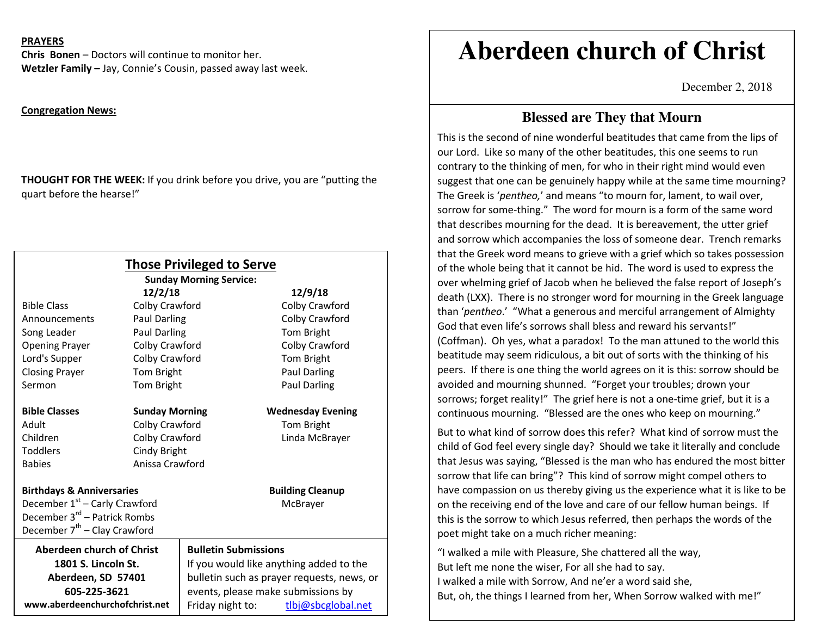## **PRAYERS**

**Chris Bonen** – Doctors will continue to monitor her. **Wetzler Family –** Jay, Connie's Cousin, passed away last week.

## **Congregation News:**

**THOUGHT FOR THE WEEK:** If you drink before you drive, you are "putting the quart before the hearse!"

|                                           |                       | <b>Those Privileged to Serve</b><br><b>Sunday Morning Service:</b> |                          |
|-------------------------------------------|-----------------------|--------------------------------------------------------------------|--------------------------|
|                                           | 12/2/18               |                                                                    | 12/9/18                  |
| <b>Bible Class</b>                        | Colby Crawford        |                                                                    | Colby Crawford           |
| Announcements                             | <b>Paul Darling</b>   |                                                                    | Colby Crawford           |
| Song Leader                               | <b>Paul Darling</b>   |                                                                    | Tom Bright               |
| <b>Opening Prayer</b>                     | Colby Crawford        |                                                                    | Colby Crawford           |
|                                           |                       |                                                                    |                          |
| Lord's Supper                             | Colby Crawford        |                                                                    | <b>Tom Bright</b>        |
| <b>Closing Prayer</b>                     | Tom Bright            |                                                                    | <b>Paul Darling</b>      |
| Sermon                                    | Tom Bright            |                                                                    | <b>Paul Darling</b>      |
| <b>Bible Classes</b>                      | <b>Sunday Morning</b> |                                                                    | <b>Wednesday Evening</b> |
| Adult                                     | Colby Crawford        |                                                                    | Tom Bright               |
| Children                                  | Colby Crawford        |                                                                    | Linda McBrayer           |
| <b>Toddlers</b>                           | Cindy Bright          |                                                                    |                          |
| <b>Babies</b>                             |                       | Anissa Crawford                                                    |                          |
| <b>Birthdays &amp; Anniversaries</b>      |                       |                                                                    | <b>Building Cleanup</b>  |
| December 1 <sup>st</sup> - Carly Crawford |                       |                                                                    | McBrayer                 |
| December 3 <sup>rd</sup> – Patrick Rombs  |                       |                                                                    |                          |
| December 7 <sup>th</sup> – Clay Crawford  |                       |                                                                    |                          |
| Aberdeen church of Christ                 |                       | <b>Bulletin Submissions</b>                                        |                          |
| 1801 S. Lincoln St.                       |                       | If you would like anything added to the                            |                          |
| Aberdeen, SD 57401                        |                       | bulletin such as prayer requests, news, or                         |                          |
| 605-225-3621                              |                       | events, please make submissions by                                 |                          |
| www.aberdeenchurchofchrist.net            |                       | Friday night to:<br>tlbj@sbcglobal.net                             |                          |
|                                           |                       |                                                                    |                          |

## **Aberdeen church of Christ**

December 2, 2018

## **Blessed are They that Mourn**

This is the second of nine wonderful beatitudes that came from the lips of our Lord. Like so many of the other beatitudes, this one seems to run contrary to the thinking of men, for who in their right mind would even suggest that one can be genuinely happy while at the same time mourning? The Greek is '*pentheo,*' and means "to mourn for, lament, to wail over, sorrow for some-thing." The word for mourn is a form of the same word that describes mourning for the dead. It is bereavement, the utter grief and sorrow which accompanies the loss of someone dear. Trench remarks that the Greek word means to grieve with a grief which so takes possession of the whole being that it cannot be hid. The word is used to express the over whelming grief of Jacob when he believed the false report of Joseph's death (LXX). There is no stronger word for mourning in the Greek language than '*pentheo*.' "What a generous and merciful arrangement of Almighty God that even life's sorrows shall bless and reward his servants!" (Coffman). Oh yes, what a paradox! To the man attuned to the world this beatitude may seem ridiculous, a bit out of sorts with the thinking of his peers. If there is one thing the world agrees on it is this: sorrow should be avoided and mourning shunned. "Forget your troubles; drown your sorrows; forget reality!" The grief here is not a one-time grief, but it is a continuous mourning. "Blessed are the ones who keep on mourning."

But to what kind of sorrow does this refer? What kind of sorrow must the child of God feel every single day? Should we take it literally and conclude that Jesus was saying, "Blessed is the man who has endured the most bitter sorrow that life can bring"? This kind of sorrow might compel others to have compassion on us thereby giving us the experience what it is like to be on the receiving end of the love and care of our fellow human beings. If this is the sorrow to which Jesus referred, then perhaps the words of the poet might take on a much richer meaning:

"I walked a mile with Pleasure, She chattered all the way, But left me none the wiser, For all she had to say.I walked a mile with Sorrow, And ne'er a word said she, But, oh, the things I learned from her, When Sorrow walked with me!"